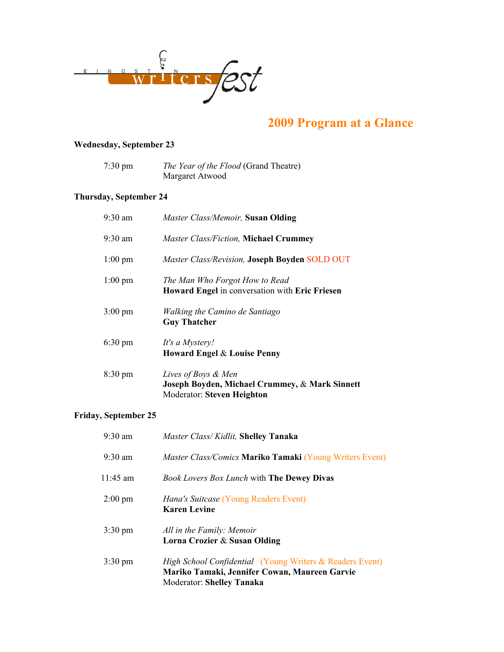

# 2009 Program at a Glance

# Wednesday, September 23

| $7:30 \text{ pm}$ | <i>The Year of the Flood</i> (Grand Theatre) |
|-------------------|----------------------------------------------|
|                   | Margaret Atwood                              |

# Thursday, September 24

| $9:30 \text{ am}$ | Master Class/Memoir, Susan Olding                                                                   |
|-------------------|-----------------------------------------------------------------------------------------------------|
| $9:30 \text{ am}$ | <b>Master Class/Fiction, Michael Crummey</b>                                                        |
| $1:00 \text{ pm}$ | Master Class/Revision, Joseph Boyden SOLD OUT                                                       |
| $1:00 \text{ pm}$ | The Man Who Forgot How to Read<br>Howard Engel in conversation with Eric Friesen                    |
| $3:00 \text{ pm}$ | Walking the Camino de Santiago<br><b>Guy Thatcher</b>                                               |
| $6:30 \text{ pm}$ | It's a Mystery!<br>Howard Engel & Louise Penny                                                      |
| $8:30 \text{ pm}$ | Lives of Boys & Men<br>Joseph Boyden, Michael Crummey, & Mark Sinnett<br>Moderator: Steven Heighton |

#### Friday, September 25

| $9:30 \text{ am}$ | Master Class/Kidlit, Shelley Tanaka                                                                                                                      |
|-------------------|----------------------------------------------------------------------------------------------------------------------------------------------------------|
| $9:30 \text{ am}$ | Master Class/Comics Mariko Tamaki (Young Writers Event)                                                                                                  |
| $11:45$ am        | <b>Book Lovers Box Lunch with The Dewey Divas</b>                                                                                                        |
| $2:00 \text{ pm}$ | <i>Hana's Suitcase</i> (Young Readers Event)<br><b>Karen Levine</b>                                                                                      |
| $3:30 \text{ pm}$ | All in the Family: Memoir<br>Lorna Crozier & Susan Olding                                                                                                |
| $3:30 \text{ pm}$ | <i>High School Confidential (Young Writers &amp; Readers Event)</i><br>Mariko Tamaki, Jennifer Cowan, Maureen Garvie<br><b>Moderator: Shelley Tanaka</b> |